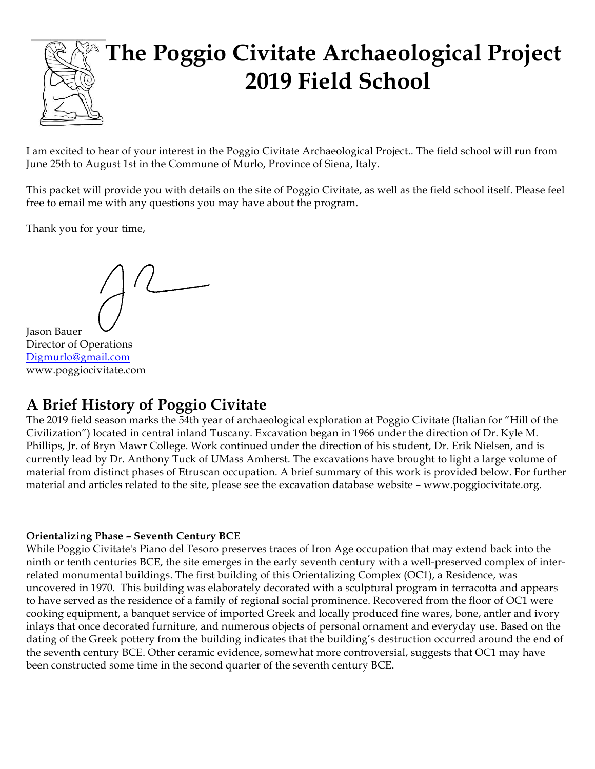# **The Poggio Civitate Archaeological Project 2019 Field School**

I am excited to hear of your interest in the Poggio Civitate Archaeological Project.. The field school will run from June 25th to August 1st in the Commune of Murlo, Province of Siena, Italy.

This packet will provide you with details on the site of Poggio Civitate, as well as the field school itself. Please feel free to email me with any questions you may have about the program.

Thank you for your time,

Jason Bauer Director of Operations Digmurlo@gmail.com www.poggiocivitate.com

## **A Brief History of Poggio Civitate**

The 2019 field season marks the 54th year of archaeological exploration at Poggio Civitate (Italian for "Hill of the Civilization") located in central inland Tuscany. Excavation began in 1966 under the direction of Dr. Kyle M. Phillips, Jr. of Bryn Mawr College. Work continued under the direction of his student, Dr. Erik Nielsen, and is currently lead by Dr. Anthony Tuck of UMass Amherst. The excavations have brought to light a large volume of material from distinct phases of Etruscan occupation. A brief summary of this work is provided below. For further material and articles related to the site, please see the excavation database website – www.poggiocivitate.org.

#### **Orientalizing Phase – Seventh Century BCE**

While Poggio Civitate's Piano del Tesoro preserves traces of Iron Age occupation that may extend back into the ninth or tenth centuries BCE, the site emerges in the early seventh century with a well-preserved complex of interrelated monumental buildings. The first building of this Orientalizing Complex (OC1), a Residence, was uncovered in 1970. This building was elaborately decorated with a sculptural program in terracotta and appears to have served as the residence of a family of regional social prominence. Recovered from the floor of OC1 were cooking equipment, a banquet service of imported Greek and locally produced fine wares, bone, antler and ivory inlays that once decorated furniture, and numerous objects of personal ornament and everyday use. Based on the dating of the Greek pottery from the building indicates that the building's destruction occurred around the end of the seventh century BCE. Other ceramic evidence, somewhat more controversial, suggests that OC1 may have been constructed some time in the second quarter of the seventh century BCE.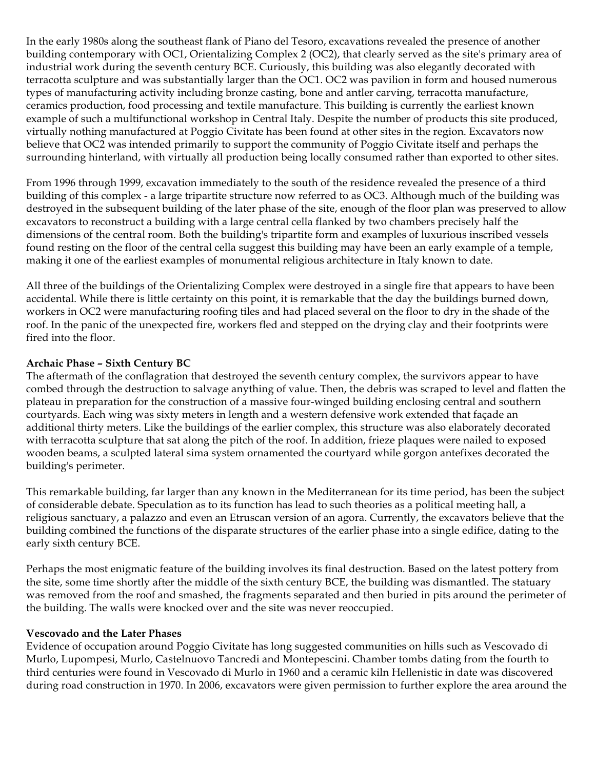In the early 1980s along the southeast flank of Piano del Tesoro, excavations revealed the presence of another building contemporary with OC1, Orientalizing Complex 2 (OC2), that clearly served as the site's primary area of industrial work during the seventh century BCE. Curiously, this building was also elegantly decorated with terracotta sculpture and was substantially larger than the OC1. OC2 was pavilion in form and housed numerous types of manufacturing activity including bronze casting, bone and antler carving, terracotta manufacture, ceramics production, food processing and textile manufacture. This building is currently the earliest known example of such a multifunctional workshop in Central Italy. Despite the number of products this site produced, virtually nothing manufactured at Poggio Civitate has been found at other sites in the region. Excavators now believe that OC2 was intended primarily to support the community of Poggio Civitate itself and perhaps the surrounding hinterland, with virtually all production being locally consumed rather than exported to other sites.

From 1996 through 1999, excavation immediately to the south of the residence revealed the presence of a third building of this complex - a large tripartite structure now referred to as OC3. Although much of the building was destroyed in the subsequent building of the later phase of the site, enough of the floor plan was preserved to allow excavators to reconstruct a building with a large central cella flanked by two chambers precisely half the dimensions of the central room. Both the building's tripartite form and examples of luxurious inscribed vessels found resting on the floor of the central cella suggest this building may have been an early example of a temple, making it one of the earliest examples of monumental religious architecture in Italy known to date.

All three of the buildings of the Orientalizing Complex were destroyed in a single fire that appears to have been accidental. While there is little certainty on this point, it is remarkable that the day the buildings burned down, workers in OC2 were manufacturing roofing tiles and had placed several on the floor to dry in the shade of the roof. In the panic of the unexpected fire, workers fled and stepped on the drying clay and their footprints were fired into the floor.

#### **Archaic Phase – Sixth Century BC**

The aftermath of the conflagration that destroyed the seventh century complex, the survivors appear to have combed through the destruction to salvage anything of value. Then, the debris was scraped to level and flatten the plateau in preparation for the construction of a massive four-winged building enclosing central and southern courtyards. Each wing was sixty meters in length and a western defensive work extended that façade an additional thirty meters. Like the buildings of the earlier complex, this structure was also elaborately decorated with terracotta sculpture that sat along the pitch of the roof. In addition, frieze plaques were nailed to exposed wooden beams, a sculpted lateral sima system ornamented the courtyard while gorgon antefixes decorated the building's perimeter.

This remarkable building, far larger than any known in the Mediterranean for its time period, has been the subject of considerable debate. Speculation as to its function has lead to such theories as a political meeting hall, a religious sanctuary, a palazzo and even an Etruscan version of an agora. Currently, the excavators believe that the building combined the functions of the disparate structures of the earlier phase into a single edifice, dating to the early sixth century BCE.

Perhaps the most enigmatic feature of the building involves its final destruction. Based on the latest pottery from the site, some time shortly after the middle of the sixth century BCE, the building was dismantled. The statuary was removed from the roof and smashed, the fragments separated and then buried in pits around the perimeter of the building. The walls were knocked over and the site was never reoccupied.

#### **Vescovado and the Later Phases**

Evidence of occupation around Poggio Civitate has long suggested communities on hills such as Vescovado di Murlo, Lupompesi, Murlo, Castelnuovo Tancredi and Montepescini. Chamber tombs dating from the fourth to third centuries were found in Vescovado di Murlo in 1960 and a ceramic kiln Hellenistic in date was discovered during road construction in 1970. In 2006, excavators were given permission to further explore the area around the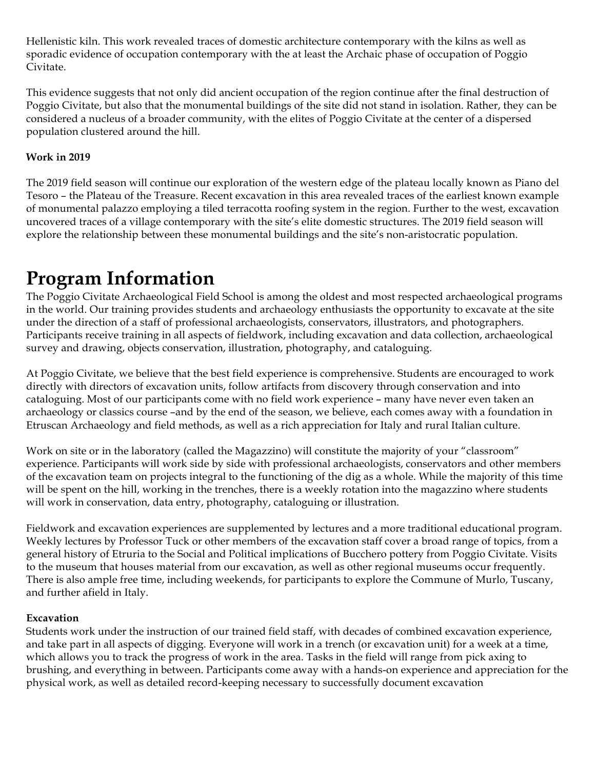Hellenistic kiln. This work revealed traces of domestic architecture contemporary with the kilns as well as sporadic evidence of occupation contemporary with the at least the Archaic phase of occupation of Poggio Civitate.

This evidence suggests that not only did ancient occupation of the region continue after the final destruction of Poggio Civitate, but also that the monumental buildings of the site did not stand in isolation. Rather, they can be considered a nucleus of a broader community, with the elites of Poggio Civitate at the center of a dispersed population clustered around the hill.

#### **Work in 2019**

The 2019 field season will continue our exploration of the western edge of the plateau locally known as Piano del Tesoro – the Plateau of the Treasure. Recent excavation in this area revealed traces of the earliest known example of monumental palazzo employing a tiled terracotta roofing system in the region. Further to the west, excavation uncovered traces of a village contemporary with the site's elite domestic structures. The 2019 field season will explore the relationship between these monumental buildings and the site's non-aristocratic population.

# **Program Information**

The Poggio Civitate Archaeological Field School is among the oldest and most respected archaeological programs in the world. Our training provides students and archaeology enthusiasts the opportunity to excavate at the site under the direction of a staff of professional archaeologists, conservators, illustrators, and photographers. Participants receive training in all aspects of fieldwork, including excavation and data collection, archaeological survey and drawing, objects conservation, illustration, photography, and cataloguing.

At Poggio Civitate, we believe that the best field experience is comprehensive. Students are encouraged to work directly with directors of excavation units, follow artifacts from discovery through conservation and into cataloguing. Most of our participants come with no field work experience – many have never even taken an archaeology or classics course –and by the end of the season, we believe, each comes away with a foundation in Etruscan Archaeology and field methods, as well as a rich appreciation for Italy and rural Italian culture.

Work on site or in the laboratory (called the Magazzino) will constitute the majority of your "classroom" experience. Participants will work side by side with professional archaeologists, conservators and other members of the excavation team on projects integral to the functioning of the dig as a whole. While the majority of this time will be spent on the hill, working in the trenches, there is a weekly rotation into the magazzino where students will work in conservation, data entry, photography, cataloguing or illustration.

Fieldwork and excavation experiences are supplemented by lectures and a more traditional educational program. Weekly lectures by Professor Tuck or other members of the excavation staff cover a broad range of topics, from a general history of Etruria to the Social and Political implications of Bucchero pottery from Poggio Civitate. Visits to the museum that houses material from our excavation, as well as other regional museums occur frequently. There is also ample free time, including weekends, for participants to explore the Commune of Murlo, Tuscany, and further afield in Italy.

#### **Excavation**

Students work under the instruction of our trained field staff, with decades of combined excavation experience, and take part in all aspects of digging. Everyone will work in a trench (or excavation unit) for a week at a time, which allows you to track the progress of work in the area. Tasks in the field will range from pick axing to brushing, and everything in between. Participants come away with a hands-on experience and appreciation for the physical work, as well as detailed record-keeping necessary to successfully document excavation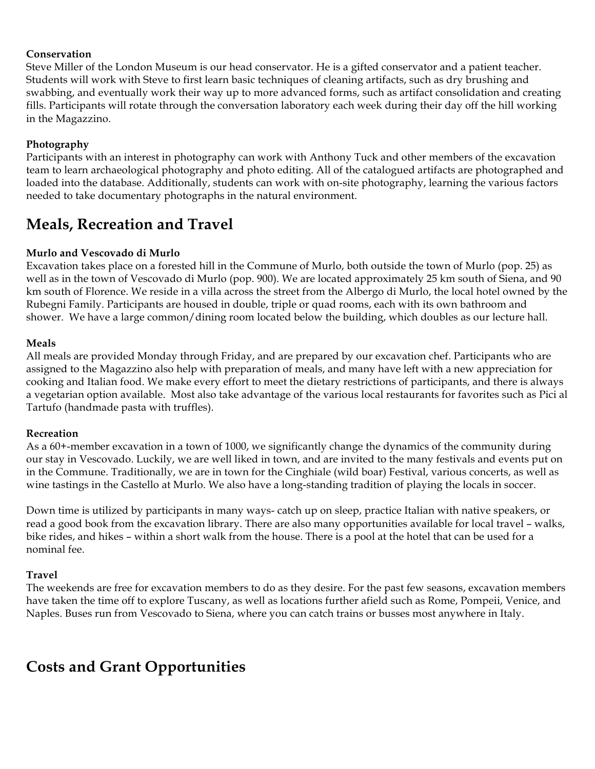#### **Conservation**

Steve Miller of the London Museum is our head conservator. He is a gifted conservator and a patient teacher. Students will work with Steve to first learn basic techniques of cleaning artifacts, such as dry brushing and swabbing, and eventually work their way up to more advanced forms, such as artifact consolidation and creating fills. Participants will rotate through the conversation laboratory each week during their day off the hill working in the Magazzino.

#### **Photography**

Participants with an interest in photography can work with Anthony Tuck and other members of the excavation team to learn archaeological photography and photo editing. All of the catalogued artifacts are photographed and loaded into the database. Additionally, students can work with on-site photography, learning the various factors needed to take documentary photographs in the natural environment.

### **Meals, Recreation and Travel**

#### **Murlo and Vescovado di Murlo**

Excavation takes place on a forested hill in the Commune of Murlo, both outside the town of Murlo (pop. 25) as well as in the town of Vescovado di Murlo (pop. 900). We are located approximately 25 km south of Siena, and 90 km south of Florence. We reside in a villa across the street from the Albergo di Murlo, the local hotel owned by the Rubegni Family. Participants are housed in double, triple or quad rooms, each with its own bathroom and shower. We have a large common/dining room located below the building, which doubles as our lecture hall.

#### **Meals**

All meals are provided Monday through Friday, and are prepared by our excavation chef. Participants who are assigned to the Magazzino also help with preparation of meals, and many have left with a new appreciation for cooking and Italian food. We make every effort to meet the dietary restrictions of participants, and there is always a vegetarian option available. Most also take advantage of the various local restaurants for favorites such as Pici al Tartufo (handmade pasta with truffles).

#### **Recreation**

As a 60+-member excavation in a town of 1000, we significantly change the dynamics of the community during our stay in Vescovado. Luckily, we are well liked in town, and are invited to the many festivals and events put on in the Commune. Traditionally, we are in town for the Cinghiale (wild boar) Festival, various concerts, as well as wine tastings in the Castello at Murlo. We also have a long-standing tradition of playing the locals in soccer.

Down time is utilized by participants in many ways- catch up on sleep, practice Italian with native speakers, or read a good book from the excavation library. There are also many opportunities available for local travel – walks, bike rides, and hikes – within a short walk from the house. There is a pool at the hotel that can be used for a nominal fee.

#### **Travel**

The weekends are free for excavation members to do as they desire. For the past few seasons, excavation members have taken the time off to explore Tuscany, as well as locations further afield such as Rome, Pompeii, Venice, and Naples. Buses run from Vescovado to Siena, where you can catch trains or busses most anywhere in Italy.

### **Costs and Grant Opportunities**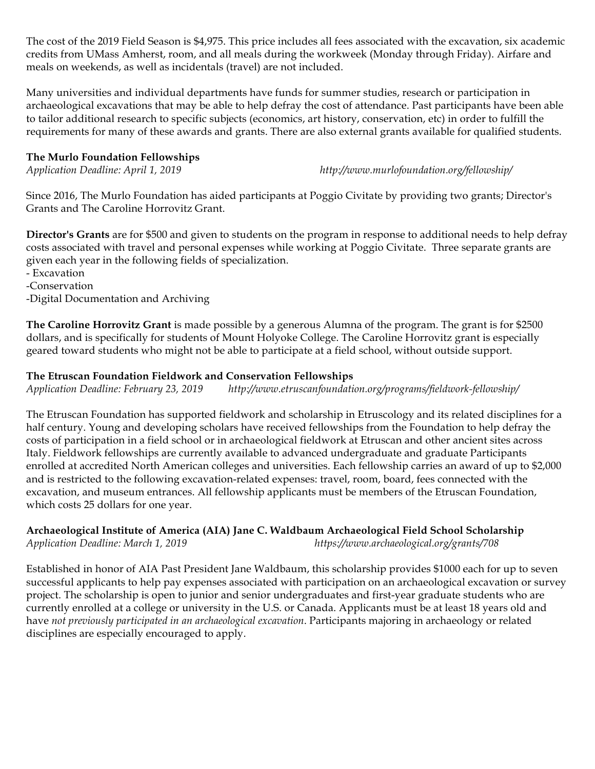The cost of the 2019 Field Season is \$4,975. This price includes all fees associated with the excavation, six academic credits from UMass Amherst, room, and all meals during the workweek (Monday through Friday). Airfare and meals on weekends, as well as incidentals (travel) are not included.

Many universities and individual departments have funds for summer studies, research or participation in archaeological excavations that may be able to help defray the cost of attendance. Past participants have been able to tailor additional research to specific subjects (economics, art history, conservation, etc) in order to fulfill the requirements for many of these awards and grants. There are also external grants available for qualified students.

#### **The Murlo Foundation Fellowships**

*Application Deadline: April 1, 2019 http://www.murlofoundation.org/fellowship/*

Since 2016, The Murlo Foundation has aided participants at Poggio Civitate by providing two grants; Director's Grants and The Caroline Horrovitz Grant.

**Director's Grants** are for \$500 and given to students on the program in response to additional needs to help defray costs associated with travel and personal expenses while working at Poggio Civitate. Three separate grants are given each year in the following fields of specialization.

- Excavation

-Conservation

-Digital Documentation and Archiving

**The Caroline Horrovitz Grant** is made possible by a generous Alumna of the program. The grant is for \$2500 dollars, and is specifically for students of Mount Holyoke College. The Caroline Horrovitz grant is especially geared toward students who might not be able to participate at a field school, without outside support.

#### **The Etruscan Foundation Fieldwork and Conservation Fellowships**

*Application Deadline: February 23, 2019 http://www.etruscanfoundation.org/programs/fieldwork-fellowship/*

The Etruscan Foundation has supported fieldwork and scholarship in Etruscology and its related disciplines for a half century. Young and developing scholars have received fellowships from the Foundation to help defray the costs of participation in a field school or in archaeological fieldwork at Etruscan and other ancient sites across Italy. Fieldwork fellowships are currently available to advanced undergraduate and graduate Participants enrolled at accredited North American colleges and universities. Each fellowship carries an award of up to \$2,000 and is restricted to the following excavation-related expenses: travel, room, board, fees connected with the excavation, and museum entrances. All fellowship applicants must be members of the Etruscan Foundation, which costs 25 dollars for one year.

#### **Archaeological Institute of America (AIA) Jane C. Waldbaum Archaeological Field School Scholarship**

*Application Deadline: March 1, 2019 https://www.archaeological.org/grants/708*

Established in honor of AIA Past President Jane Waldbaum, this scholarship provides \$1000 each for up to seven successful applicants to help pay expenses associated with participation on an archaeological excavation or survey project. The scholarship is open to junior and senior undergraduates and first-year graduate students who are currently enrolled at a college or university in the U.S. or Canada. Applicants must be at least 18 years old and have *not previously participated in an archaeological excavation*. Participants majoring in archaeology or related disciplines are especially encouraged to apply.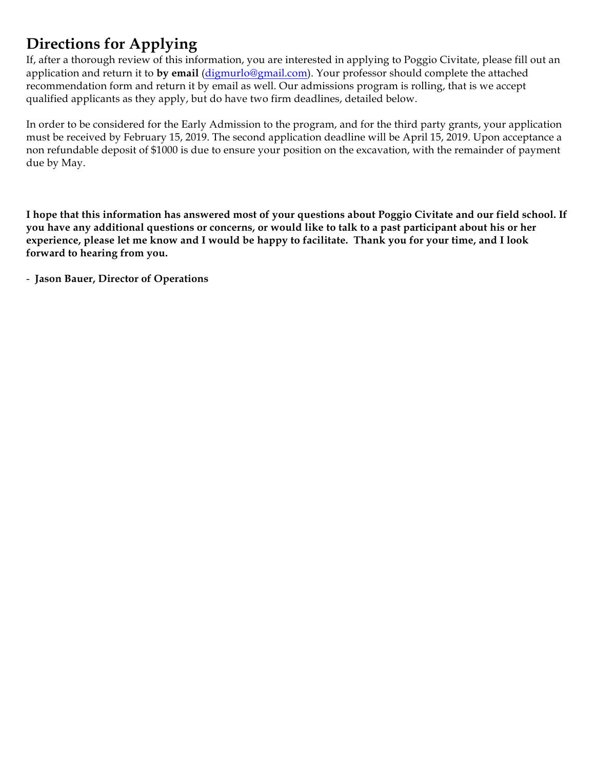### **Directions for Applying**

If, after a thorough review of this information, you are interested in applying to Poggio Civitate, please fill out an application and return it to **by email** (digmurlo@gmail.com). Your professor should complete the attached recommendation form and return it by email as well. Our admissions program is rolling, that is we accept qualified applicants as they apply, but do have two firm deadlines, detailed below.

In order to be considered for the Early Admission to the program, and for the third party grants, your application must be received by February 15, 2019. The second application deadline will be April 15, 2019. Upon acceptance a non refundable deposit of \$1000 is due to ensure your position on the excavation, with the remainder of payment due by May.

**I hope that this information has answered most of your questions about Poggio Civitate and our field school. If you have any additional questions or concerns, or would like to talk to a past participant about his or her experience, please let me know and I would be happy to facilitate. Thank you for your time, and I look forward to hearing from you.**

- **Jason Bauer, Director of Operations**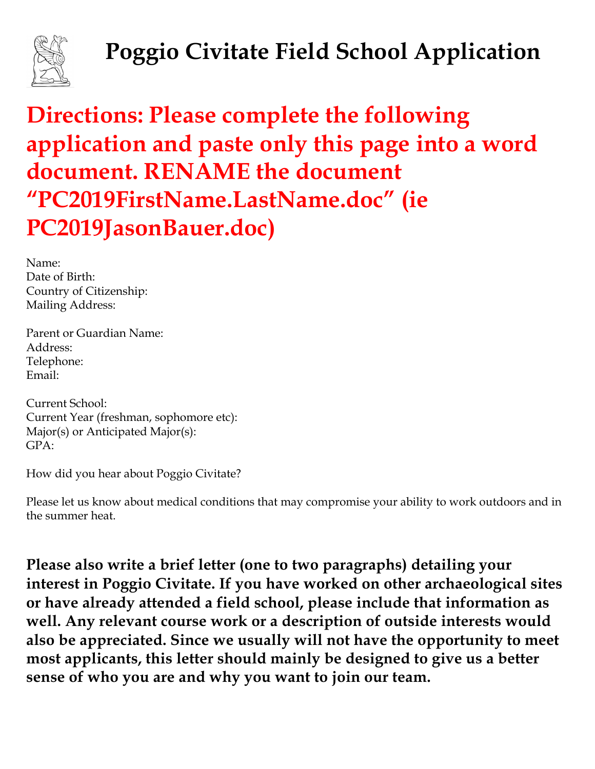

# **Poggio Civitate Field School Application**

# **Directions: Please complete the following application and paste only this page into a word document. RENAME the document "PC2019FirstName.LastName.doc" (ie PC2019JasonBauer.doc)**

Name: Date of Birth: Country of Citizenship: Mailing Address:

Parent or Guardian Name: Address: Telephone: Email:

Current School: Current Year (freshman, sophomore etc): Major(s) or Anticipated Major(s):  $GPA$ 

How did you hear about Poggio Civitate?

Please let us know about medical conditions that may compromise your ability to work outdoors and in the summer heat.

**Please also write a brief letter (one to two paragraphs) detailing your interest in Poggio Civitate. If you have worked on other archaeological sites or have already attended a field school, please include that information as well. Any relevant course work or a description of outside interests would also be appreciated. Since we usually will not have the opportunity to meet most applicants, this letter should mainly be designed to give us a better sense of who you are and why you want to join our team.**